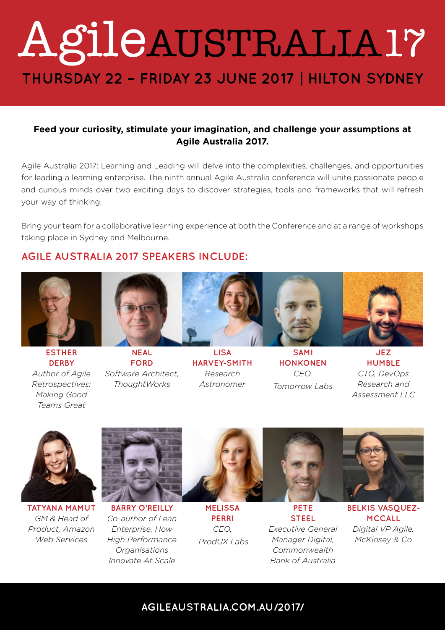# **THURSDAY 22 – FRIDAY 23 JUNE 2017 | HILTON SYDNEY** [AgileAUSTRALIA17](http://agileaustralia.com.au/2017/)

#### **Feed your curiosity, stimulate your imagination, and challenge your assumptions at Agile Australia 2017.**

Agile Australia 2017: Learning and Leading will delve into the complexities, challenges, and opportunities for leading a learning enterprise. The ninth annual Agile Australia conference will unite passionate people and curious minds over two exciting days to discover strategies, tools and frameworks that will refresh your way of thinking.

Bring your team for a collaborative learning experience at both the Conference and at a range of workshops taking place in Sydney and Melbourne.

#### **AGILE AUSTRALIA 2017 SPEAKERS INCLUDE:**



**ESTHER DERBY** *Author of Agile Retrospectives: Making Good Teams Great*



**FORD** *Software Architect, ThoughtWorks*



**LISA HARVEY-SMITH** *Research Astronomer*



**SAMI HONKONEN** *CEO, Tomorrow Labs*



**JEZ HUMBLE** *CTO, DevOps Research and Assessment LLC*



**TATYANA MAMUT** *GM & Head of Product, Amazon Web Services*



**BARRY O'REILLY** *Co-author of Lean Enterprise: How High Performance Organisations Innovate At Scale*



**MELISSA PERRI** *CEO, ProdUX Labs*



**PETE STEEL** *Executive General Manager Digital, Commonwealth Bank of Australia*

**BELKIS VASQUEZ-MCCALL** *Digital VP Agile, McKinsey & Co*

### **[AGILEAUSTRALIA.COM.AU/2017/](http://agileaustralia.com.au/2017/)**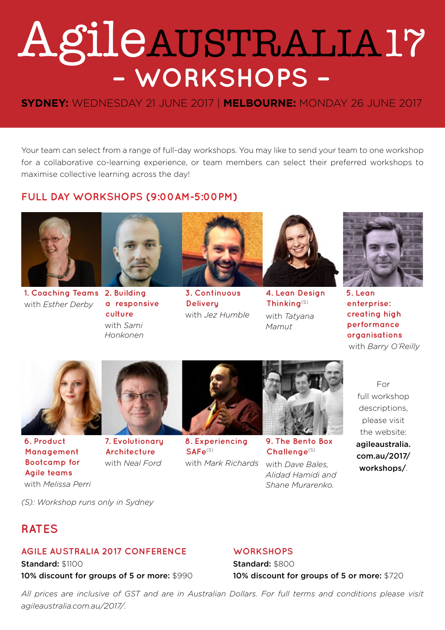# [AgileAUSTRALIA17](http://agileaustralia.com.au/2017/workshops/) **– WORKSHOPS –**

### **SYDNEY:** WEDNESDAY 21 JUNE 2017 | **MELBOURNE:** MONDAY 26 JUNE 2017

Your team can select from a range of full-day workshops. You may like to send your team to one workshop for a collaborative co-learning experience, or team members can select their preferred workshops to maximise collective learning across the day!

#### **FULL DAY WORKSHOPS (9:00AM-5:00PM)**



**1. Coaching Teams 2. Building**  with *Esther Derby*



**a responsive culture** with *Sami Honkonen*



**3. Continuous Delivery**  with *Jez Humble*



**4. Lean Design Thinking**(S) with *Tatyana Mamut*



**5. Lean enterprise: creating high performance organisations** with *Barry O'Reilly*



**6. Product Management Bootcamp for Agile teams** with *Melissa Perri*



**Architecture** with *Neal Ford*



**8. Experiencing SAFe**(S) with *Mark Richards*



**9. The Bento Box Challenge**(S)

with *Dave Bales, Alidad Hamidi and Shane Murarenko.*

For full workshop descriptions, please visit the website: [agileaustralia.](http://agileaustralia.com.au/2017/workshops/)

[com.au/2017/](http://agileaustralia.com.au/2017/workshops/) [workshops/](http://agileaustralia.com.au/2017/workshops/).

*(S): Workshop runs only in Sydney*

## **RATES**

#### **AGILE AUSTRALIA 2017 CONFERENCE**

Standard: \$1100 10% discount for groups of 5 or more: \$990

#### **WORKSHOPS**

Standard: \$800 10% discount for groups of 5 or more: \$720

*All prices are inclusive of GST and are in Australian Dollars. For full terms and conditions please visit [agileaustralia.com.au/2017/](http://agileaustralia.com.au/2017/).*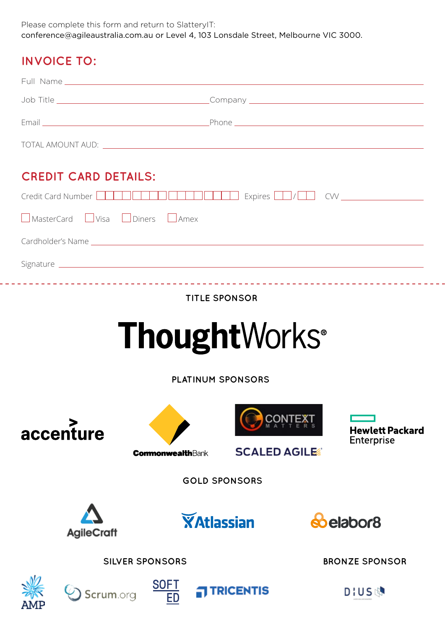Please complete this form and return to SlatteryIT: [conference@agileaustralia.com.au](mailto:conference%40agileaustralia.com.au?subject=) or Level 4, 103 Lonsdale Street, Melbourne VIC 3000.

## **INVOICE TO:**

. . .

| <b>CREDIT CARD DETAILS:</b>                                                                                                                                                                                                          |                        |             |                                                                                                                                                                                                                                |  |                        |  |  |  |  |  |  |  |
|--------------------------------------------------------------------------------------------------------------------------------------------------------------------------------------------------------------------------------------|------------------------|-------------|--------------------------------------------------------------------------------------------------------------------------------------------------------------------------------------------------------------------------------|--|------------------------|--|--|--|--|--|--|--|
| Credit Card Number <b>Contract of the Contract Office Contract of the Contract Office Contract Office Contract Office Contract Office Contract Office Contract Office Contract Office Contract Office Contract Office Contract O</b> |                        |             |                                                                                                                                                                                                                                |  |                        |  |  |  |  |  |  |  |
| NasterCard Visa Diners LAmex                                                                                                                                                                                                         |                        |             |                                                                                                                                                                                                                                |  |                        |  |  |  |  |  |  |  |
|                                                                                                                                                                                                                                      |                        |             | Cardholder's Name experience and the state of the state of the state of the state of the state of the state of the state of the state of the state of the state of the state of the state of the state of the state of the sta |  |                        |  |  |  |  |  |  |  |
|                                                                                                                                                                                                                                      |                        |             |                                                                                                                                                                                                                                |  |                        |  |  |  |  |  |  |  |
|                                                                                                                                                                                                                                      |                        |             |                                                                                                                                                                                                                                |  |                        |  |  |  |  |  |  |  |
| <b>TITLE SPONSOR</b>                                                                                                                                                                                                                 |                        |             |                                                                                                                                                                                                                                |  |                        |  |  |  |  |  |  |  |
|                                                                                                                                                                                                                                      |                        |             |                                                                                                                                                                                                                                |  |                        |  |  |  |  |  |  |  |
| <b>Thought</b> Works <sup>®</sup>                                                                                                                                                                                                    |                        |             |                                                                                                                                                                                                                                |  |                        |  |  |  |  |  |  |  |
|                                                                                                                                                                                                                                      |                        |             |                                                                                                                                                                                                                                |  |                        |  |  |  |  |  |  |  |
| <b>PLATINUM SPONSORS</b>                                                                                                                                                                                                             |                        |             |                                                                                                                                                                                                                                |  |                        |  |  |  |  |  |  |  |
|                                                                                                                                                                                                                                      |                        |             |                                                                                                                                                                                                                                |  |                        |  |  |  |  |  |  |  |
|                                                                                                                                                                                                                                      | accenture              |             | CONT                                                                                                                                                                                                                           |  | <b>Hewlett Packard</b> |  |  |  |  |  |  |  |
| Enterprise<br><b>SCALED AGILE</b><br><b>CommonwealthBank</b>                                                                                                                                                                         |                        |             |                                                                                                                                                                                                                                |  |                        |  |  |  |  |  |  |  |
|                                                                                                                                                                                                                                      |                        |             |                                                                                                                                                                                                                                |  |                        |  |  |  |  |  |  |  |
|                                                                                                                                                                                                                                      |                        |             | <b>GOLD SPONSORS</b>                                                                                                                                                                                                           |  |                        |  |  |  |  |  |  |  |
|                                                                                                                                                                                                                                      |                        |             |                                                                                                                                                                                                                                |  |                        |  |  |  |  |  |  |  |
| <b>AgileCraft</b>                                                                                                                                                                                                                    |                        |             | <b>XAtlassian</b>                                                                                                                                                                                                              |  | <b>o</b> belabor8      |  |  |  |  |  |  |  |
|                                                                                                                                                                                                                                      |                        |             |                                                                                                                                                                                                                                |  |                        |  |  |  |  |  |  |  |
|                                                                                                                                                                                                                                      | <b>SILVER SPONSORS</b> |             |                                                                                                                                                                                                                                |  | <b>BRONZE SPONSOR</b>  |  |  |  |  |  |  |  |
|                                                                                                                                                                                                                                      | Scrum.org              | <b>SOFT</b> | <b>TRICENTIS</b>                                                                                                                                                                                                               |  | DIUS脚                  |  |  |  |  |  |  |  |
|                                                                                                                                                                                                                                      |                        |             |                                                                                                                                                                                                                                |  |                        |  |  |  |  |  |  |  |

 $\equiv$   $\pm$